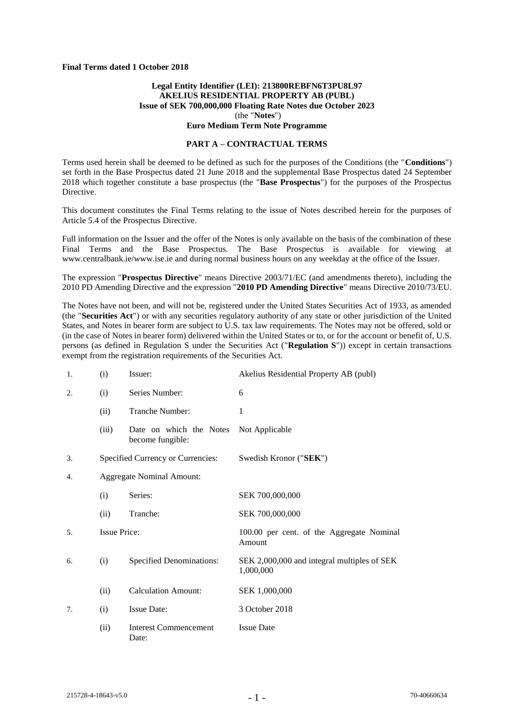#### **Final Terms dated 1 October 2018**

### **Legal Entity Identifier (LEI): 213800REBFN6T3PU8L97 AKELIUS RESIDENTIAL PROPERTY AB (PUBL) Issue of SEK 700,000,000 Floating Rate Notes due October 2023** (the "**Notes**") **Euro Medium Term Note Programme**

#### **PART A – CONTRACTUAL TERMS**

Terms used herein shall be deemed to be defined as such for the purposes of the Conditions (the "**Conditions**") set forth in the Base Prospectus dated 21 June 2018 and the supplemental Base Prospectus dated 24 September 2018 which together constitute a base prospectus (the "**Base Prospectus**") for the purposes of the Prospectus Directive.

This document constitutes the Final Terms relating to the issue of Notes described herein for the purposes of Article 5.4 of the Prospectus Directive.

Full information on the Issuer and the offer of the Notes is only available on the basis of the combination of these Final Terms and the Base Prospectus. The Base Prospectus is available for viewing at www.centralbank.ie/www.ise.ie and during normal business hours on any weekday at the office of the Issuer.

The expression "**Prospectus Directive**" means Directive 2003/71/EC (and amendments thereto), including the 2010 PD Amending Directive and the expression "**2010 PD Amending Directive**" means Directive 2010/73/EU.

The Notes have not been, and will not be, registered under the United States Securities Act of 1933, as amended (the "**Securities Act**") or with any securities regulatory authority of any state or other jurisdiction of the United States, and Notes in bearer form are subject to U.S. tax law requirements. The Notes may not be offered, sold or (in the case of Notes in bearer form) delivered within the United States or to, or for the account or benefit of, U.S. persons (as defined in Regulation S under the Securities Act ("**Regulation S**")) except in certain transactions exempt from the registration requirements of the Securities Act.

| 1. | (i)                   | Issuer:                                     | Akelius Residential Property AB (publ)                   |
|----|-----------------------|---------------------------------------------|----------------------------------------------------------|
| 2. | Series Number:<br>(i) |                                             | 6                                                        |
|    | (ii)                  | Tranche Number:                             | 1                                                        |
|    | (iii)                 | Date on which the Notes<br>become fungible: | Not Applicable                                           |
| 3. |                       | Specified Currency or Currencies:           | Swedish Kronor ("SEK")                                   |
| 4. |                       | <b>Aggregate Nominal Amount:</b>            |                                                          |
|    | (i)                   | Series:                                     | SEK 700,000,000                                          |
|    | (ii)                  | Tranche:                                    | SEK 700,000,000                                          |
| 5. | <b>Issue Price:</b>   |                                             | 100.00 per cent. of the Aggregate Nominal<br>Amount      |
| 6. | (i)                   | <b>Specified Denominations:</b>             | SEK 2,000,000 and integral multiples of SEK<br>1,000,000 |
|    | (ii)                  | <b>Calculation Amount:</b>                  | SEK 1,000,000                                            |
| 7. | (i)                   | <b>Issue Date:</b>                          | 3 October 2018                                           |
|    | (ii)                  | <b>Interest Commencement</b><br>Date:       | <b>Issue Date</b>                                        |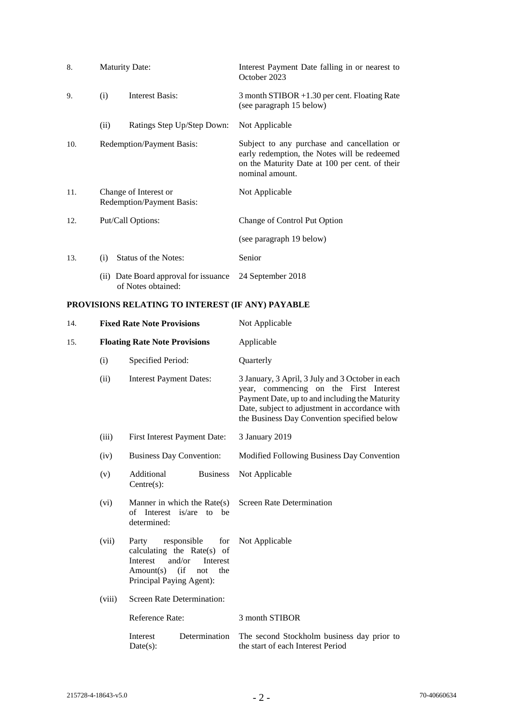| 8.  | <b>Maturity Date:</b>                              |                                                             | Interest Payment Date falling in or nearest to<br>October 2023                                                                                                   |
|-----|----------------------------------------------------|-------------------------------------------------------------|------------------------------------------------------------------------------------------------------------------------------------------------------------------|
| 9.  | Interest Basis:<br>(i)                             |                                                             | 3 month STIBOR +1.30 per cent. Floating Rate<br>(see paragraph 15 below)                                                                                         |
|     | (ii)                                               | Ratings Step Up/Step Down:                                  | Not Applicable                                                                                                                                                   |
| 10. | Redemption/Payment Basis:                          |                                                             | Subject to any purchase and cancellation or<br>early redemption, the Notes will be redeemed<br>on the Maturity Date at 100 per cent. of their<br>nominal amount. |
| 11. | Change of Interest or<br>Redemption/Payment Basis: |                                                             | Not Applicable                                                                                                                                                   |
| 12. | Put/Call Options:                                  |                                                             | Change of Control Put Option                                                                                                                                     |
|     |                                                    |                                                             | (see paragraph 19 below)                                                                                                                                         |
| 13. | (i)                                                | Status of the Notes:                                        | Senior                                                                                                                                                           |
|     |                                                    | (ii) Date Board approval for issuance<br>of Notes obtained: | 24 September 2018                                                                                                                                                |

# **PROVISIONS RELATING TO INTEREST (IF ANY) PAYABLE**

| 14.                                                                                                                                             | <b>Fixed Rate Note Provisions</b>        |                                                                                                                                                             | Not Applicable                                                                                                                                                                                                                                |  |
|-------------------------------------------------------------------------------------------------------------------------------------------------|------------------------------------------|-------------------------------------------------------------------------------------------------------------------------------------------------------------|-----------------------------------------------------------------------------------------------------------------------------------------------------------------------------------------------------------------------------------------------|--|
| 15.                                                                                                                                             |                                          | <b>Floating Rate Note Provisions</b>                                                                                                                        | Applicable                                                                                                                                                                                                                                    |  |
|                                                                                                                                                 | (i)                                      | Specified Period:                                                                                                                                           | Quarterly                                                                                                                                                                                                                                     |  |
|                                                                                                                                                 | (ii)                                     | <b>Interest Payment Dates:</b>                                                                                                                              | 3 January, 3 April, 3 July and 3 October in each<br>year, commencing on the First Interest<br>Payment Date, up to and including the Maturity<br>Date, subject to adjustment in accordance with<br>the Business Day Convention specified below |  |
|                                                                                                                                                 | (iii)                                    | First Interest Payment Date:                                                                                                                                | 3 January 2019                                                                                                                                                                                                                                |  |
|                                                                                                                                                 | (iv)                                     | <b>Business Day Convention:</b>                                                                                                                             | Modified Following Business Day Convention                                                                                                                                                                                                    |  |
| Additional<br><b>Business</b><br>(v)<br>$Centre(s)$ :<br>Manner in which the $Rate(s)$<br>(vi)<br>of Interest<br>is/are<br>to be<br>determined: |                                          |                                                                                                                                                             | Not Applicable                                                                                                                                                                                                                                |  |
|                                                                                                                                                 |                                          |                                                                                                                                                             | <b>Screen Rate Determination</b>                                                                                                                                                                                                              |  |
|                                                                                                                                                 | (vii)                                    | Party<br>responsible<br>for<br>calculating the Rate(s) of<br>and/or<br>Interest<br>Interest<br>(i f)<br>the<br>Amount(s)<br>not<br>Principal Paying Agent): | Not Applicable                                                                                                                                                                                                                                |  |
| <b>Screen Rate Determination:</b><br>(viii)<br>Reference Rate:                                                                                  |                                          |                                                                                                                                                             |                                                                                                                                                                                                                                               |  |
|                                                                                                                                                 |                                          |                                                                                                                                                             | 3 month STIBOR                                                                                                                                                                                                                                |  |
|                                                                                                                                                 | Interest<br>Determination<br>$Date(s)$ : |                                                                                                                                                             | The second Stockholm business day prior to<br>the start of each Interest Period                                                                                                                                                               |  |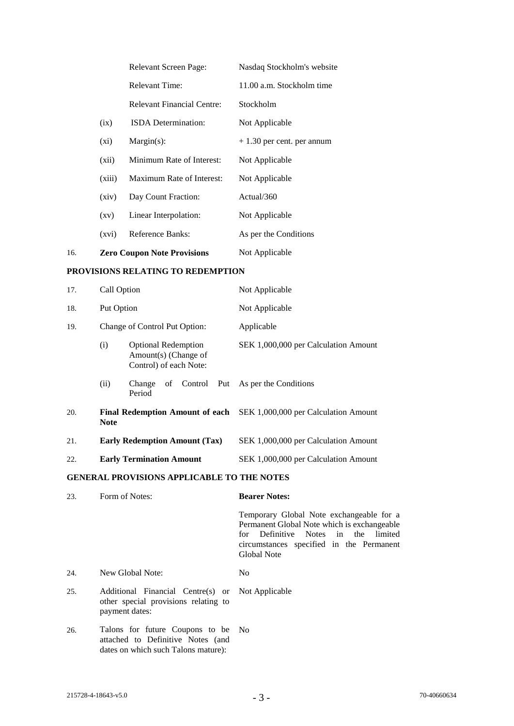|     |                    | <b>Relevant Screen Page:</b>       | Nasdaq Stockholm's website  |
|-----|--------------------|------------------------------------|-----------------------------|
|     |                    | <b>Relevant Time:</b>              | 11.00 a.m. Stockholm time   |
|     |                    | Relevant Financial Centre:         | Stockholm                   |
|     | (ix)               | <b>ISDA</b> Determination:         | Not Applicable              |
|     | $(x_i)$            | $Margin(s)$ :                      | $+1.30$ per cent. per annum |
|     | (xii)              | Minimum Rate of Interest:          | Not Applicable              |
|     | (xiii)             | Maximum Rate of Interest:          | Not Applicable              |
|     | (xiv)              | Day Count Fraction:                | Actual/360                  |
|     | $\left( xy\right)$ | Linear Interpolation:              | Not Applicable              |
|     | (xvi)              | Reference Banks:                   | As per the Conditions       |
| 16. |                    | <b>Zero Coupon Note Provisions</b> | Not Applicable              |

# **PROVISIONS RELATING TO REDEMPTION**

| 17. | Call Option                          |                                                                              | Not Applicable                                                              |
|-----|--------------------------------------|------------------------------------------------------------------------------|-----------------------------------------------------------------------------|
| 18. | Put Option                           |                                                                              | Not Applicable                                                              |
| 19. |                                      | Change of Control Put Option:                                                | Applicable                                                                  |
|     | (i)                                  | <b>Optional Redemption</b><br>Amount(s) (Change of<br>Control) of each Note: | SEK 1,000,000 per Calculation Amount                                        |
|     | (ii)                                 | Change<br>Period                                                             | of Control Put As per the Conditions                                        |
| 20. | <b>Note</b>                          |                                                                              | <b>Final Redemption Amount of each</b> SEK 1,000,000 per Calculation Amount |
| 21. | <b>Early Redemption Amount (Tax)</b> |                                                                              | SEK 1,000,000 per Calculation Amount                                        |
| 22. |                                      | <b>Early Termination Amount</b>                                              | SEK 1,000,000 per Calculation Amount                                        |

### **GENERAL PROVISIONS APPLICABLE TO THE NOTES**

| 23. | Form of Notes:                                                                                                 | <b>Bearer Notes:</b>                                                                                                                                                                             |  |  |
|-----|----------------------------------------------------------------------------------------------------------------|--------------------------------------------------------------------------------------------------------------------------------------------------------------------------------------------------|--|--|
|     |                                                                                                                | Temporary Global Note exchangeable for a<br>Permanent Global Note which is exchangeable<br>for Definitive Notes in the limited<br>circumstances specified in the Permanent<br><b>Global Note</b> |  |  |
| 24. | New Global Note:                                                                                               | No.                                                                                                                                                                                              |  |  |
| 25. | Additional Financial Centre(s) or Not Applicable<br>other special provisions relating to<br>payment dates:     |                                                                                                                                                                                                  |  |  |
| 26. | Talons for future Coupons to be No<br>attached to Definitive Notes (and<br>dates on which such Talons mature): |                                                                                                                                                                                                  |  |  |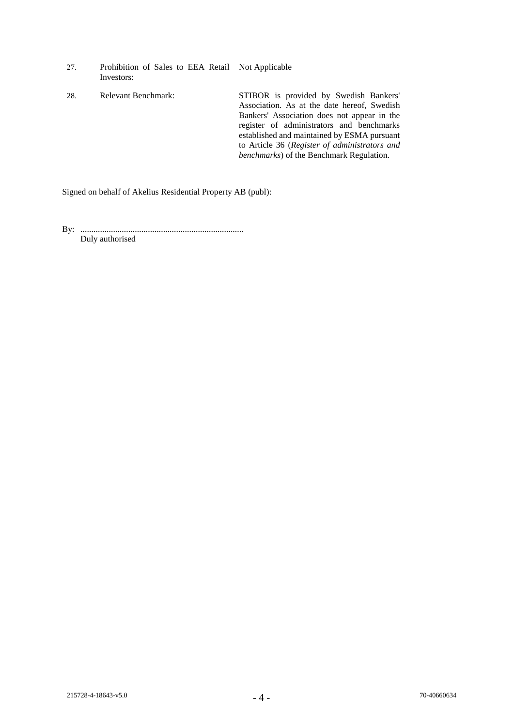- 27. Prohibition of Sales to EEA Retail Not Applicable Investors: 28. Relevant Benchmark: STIBOR is provided by Swedish Bankers'
	- Association. As at the date hereof, Swedish Bankers' Association does not appear in the register of administrators and benchmarks established and maintained by ESMA pursuant to Article 36 (*Register of administrators and benchmarks*) of the Benchmark Regulation.

Signed on behalf of Akelius Residential Property AB (publ):

By: ........................................................................... Duly authorised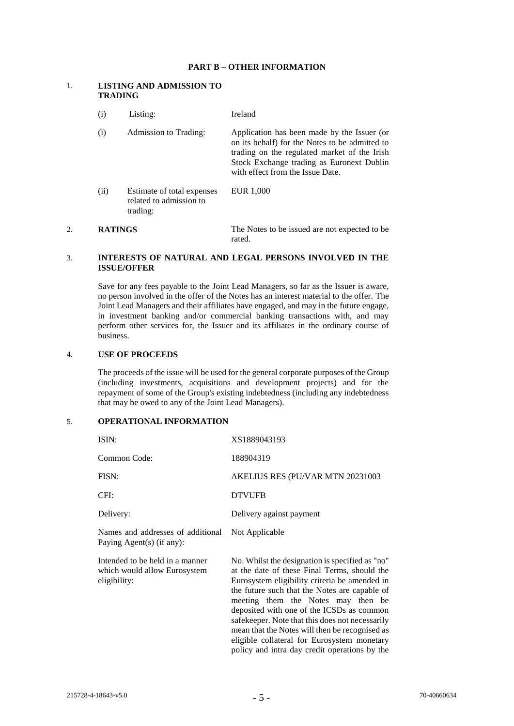### **PART B – OTHER INFORMATION**

### 1. **LISTING AND ADMISSION TO TRADING**

| (i)  | Listing:                                                          | Ireland                                                                                                                                                                                                                        |
|------|-------------------------------------------------------------------|--------------------------------------------------------------------------------------------------------------------------------------------------------------------------------------------------------------------------------|
| (i)  | Admission to Trading:                                             | Application has been made by the Issuer (or<br>on its behalf) for the Notes to be admitted to<br>trading on the regulated market of the Irish<br>Stock Exchange trading as Euronext Dublin<br>with effect from the Issue Date. |
| (ii) | Estimate of total expenses<br>related to admission to<br>trading: | EUR 1,000                                                                                                                                                                                                                      |

#### 2. **RATINGS** The Notes to be issued are not expected to be rated.

# 3. **INTERESTS OF NATURAL AND LEGAL PERSONS INVOLVED IN THE ISSUE/OFFER**

Save for any fees payable to the Joint Lead Managers, so far as the Issuer is aware, no person involved in the offer of the Notes has an interest material to the offer. The Joint Lead Managers and their affiliates have engaged, and may in the future engage, in investment banking and/or commercial banking transactions with, and may perform other services for, the Issuer and its affiliates in the ordinary course of business.

# 4. **USE OF PROCEEDS**

The proceeds of the issue will be used for the general corporate purposes of the Group (including investments, acquisitions and development projects) and for the repayment of some of the Group's existing indebtedness (including any indebtedness that may be owed to any of the Joint Lead Managers).

# 5. **OPERATIONAL INFORMATION**

| ISIN:                                                                           | XS1889043193                                                                                                                                                                                                                                                                                                                                                                              |
|---------------------------------------------------------------------------------|-------------------------------------------------------------------------------------------------------------------------------------------------------------------------------------------------------------------------------------------------------------------------------------------------------------------------------------------------------------------------------------------|
| Common Code:                                                                    | 188904319                                                                                                                                                                                                                                                                                                                                                                                 |
| FISN:                                                                           | AKELIUS RES (PU/VAR MTN 20231003                                                                                                                                                                                                                                                                                                                                                          |
| CFI:                                                                            | <b>DTVUFB</b>                                                                                                                                                                                                                                                                                                                                                                             |
| Delivery:                                                                       | Delivery against payment                                                                                                                                                                                                                                                                                                                                                                  |
| Names and addresses of additional<br>Paying Agent(s) (if any):                  | Not Applicable                                                                                                                                                                                                                                                                                                                                                                            |
| Intended to be held in a manner<br>which would allow Eurosystem<br>eligibility: | No. Whilst the designation is specified as "no"<br>at the date of these Final Terms, should the<br>Eurosystem eligibility criteria be amended in<br>the future such that the Notes are capable of<br>meeting them the Notes may then be<br>deposited with one of the ICSDs as common<br>safekeeper. Note that this does not necessarily<br>mean that the Notes will then be recognised as |

eligible collateral for Eurosystem monetary policy and intra day credit operations by the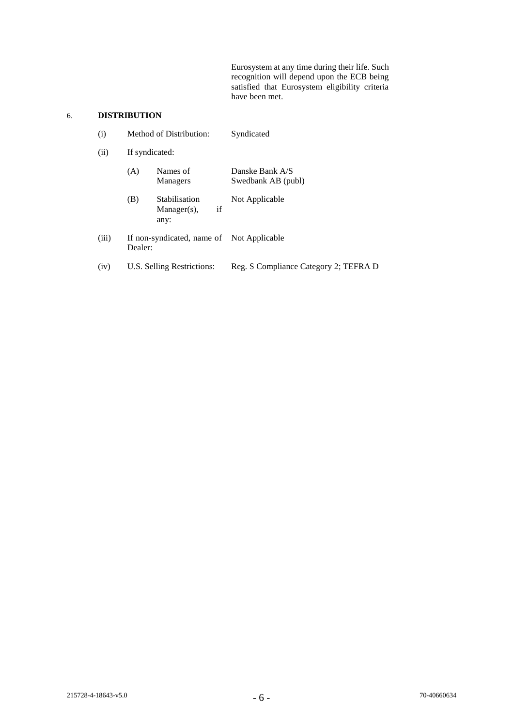Eurosystem at any time during their life. Such recognition will depend upon the ECB being satisfied that Eurosystem eligibility criteria have been met.

# 6. **DISTRIBUTION**

| (i)   | Method of Distribution:<br>If syndicated:            |                                               | Syndicated                            |  |
|-------|------------------------------------------------------|-----------------------------------------------|---------------------------------------|--|
| (ii)  |                                                      |                                               |                                       |  |
|       | (A)                                                  | Names of<br>Managers                          | Danske Bank A/S<br>Swedbank AB (publ) |  |
|       | (B)                                                  | Stabilisation<br>if<br>$Manager(s)$ ,<br>any: | Not Applicable                        |  |
| (iii) | If non-syndicated, name of Not Applicable<br>Dealer: |                                               |                                       |  |
| (iv)  | U.S. Selling Restrictions:                           |                                               | Reg. S Compliance Category 2; TEFRA D |  |
|       |                                                      |                                               |                                       |  |